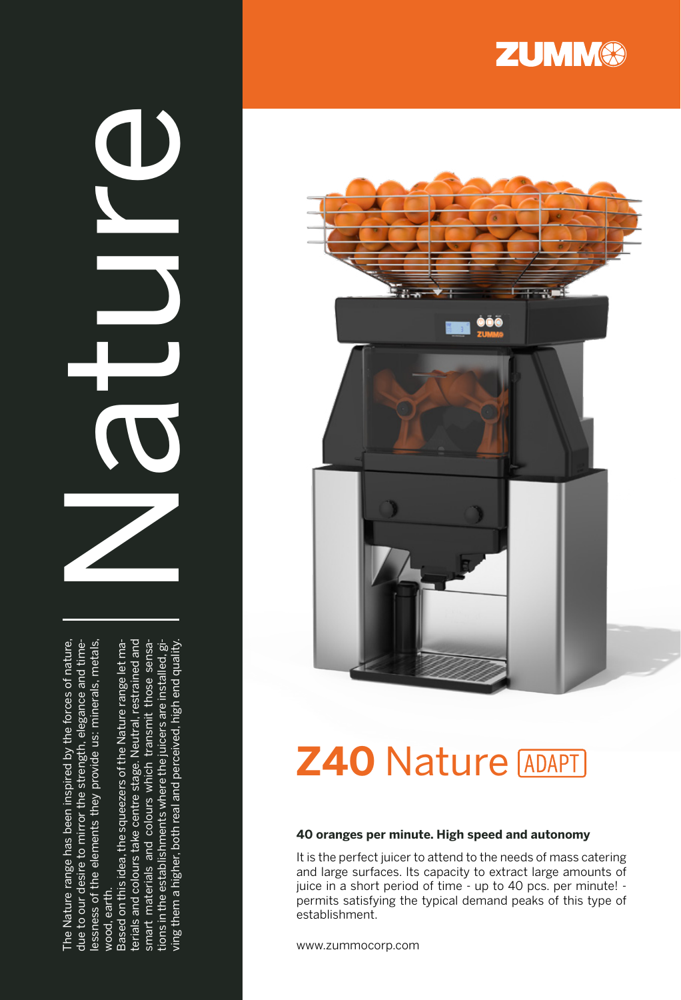The Nature range has been inspired by the forces of nature.<br>due to our desire to mirror the strength, elegance and time-<br>esseness of the elements they provide us: minerals, metals,<br>wood, earth.<br>Based on this idea, the sque

 $\overline{\mathbf{C}}$ 





# **Z40** Nature

#### **40 oranges per minute. High speed and autonomy**

It is the perfect juicer to attend to the needs of mass catering and large surfaces. Its capacity to extract large amounts of juice in a short period of time - up to 40 pcs. per minute! permits satisfying the typical demand peaks of this type of establishment.

www.zummocorp.com